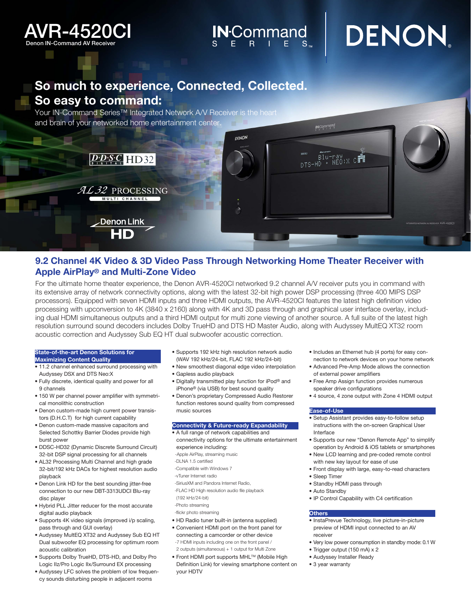

# $\mathsf{IN}^\mathsf{Command}_{\mathrm{s}}$  DENON

# So much to experience, Connected, Collected. So easy to command:

Your IN-Command Series<sup>™</sup> Integrated Network AV Receiver is the heart and brain of your networked home entertainment center.



# 9.2 Channel 4K Video & 3D Video Pass Through Networking Home Theater Receiver with Apple AirPlay® and Multi-Zone Video

For the ultimate home theater experience, the Denon AVR-4520CI networked 9.2 channel A/V receiver puts you in command with its extensive array of network connectivity options, along with the latest 32-bit high power DSP processing (three 400 MIPS DSP processors). Equipped with seven HDMI inputs and three HDMI outputs, the AVR-4520CI features the latest high definition video processing with upconversion to 4K (3840 x 2160) along with 4K and 3D pass through and graphical user interface overlay, including dual HDMI simultaneous outputs and a third HDMI output for multi zone viewing of another source. A full suite of the latest high resolution surround sound decoders includes Dolby TrueHD and DTS HD Master Audio, along with Audyssey MultEQ XT32 room acoustic correction and Audyssey Sub EQ HT dual subwoofer acoustic correction.

### State-of-the-art Denon Solutions for

- Maximizing Content Quality • 11.2 channel enhanced surround processing with
- Audyssey DSX and DTS Neo:X • Fully discrete, identical quality and power for all 9 channels
- 150 W per channel power amplifier with symmetrical monolithic construction
- Denon custom-made high current power transistors (D.H.C.T) for high current capability
- Denon custom-made massive capacitors and Selected Schottky Barrier Diodes provide high burst power
- DDSC-HD32 (Dynamic Discrete Surround Circuit) 32-bit DSP signal processing for all channels
- AL32 Processing Multi Channel and high grade 32-bit/192 kHz DACs for highest resolution audio playback
- Denon Link HD for the best sounding jitter-free connection to our new DBT-3313UDCI Blu-ray disc player
- Hybrid PLL Jitter reducer for the most accurate digital audio playback
- Supports 4K video signals (improved i/p scaling, pass through and GUI overlay)
- Audyssey MultEQ XT32 and Audyssey Sub EQ HT Dual subwoofer EQ processing for optimum room acoustic calibration
- Supports Dolby TrueHD, DTS-HD, and Dolby Pro Logic IIz/Pro Logic IIx/Surround EX processing
- Audyssey LFC solves the problem of low frequency sounds disturbing people in adjacent rooms
- Supports 192 kHz high resolution network audio (WAV 192 kHz/24-bit, FLAC 192 kHz/24-bit)
- New smoothest diagonal edge video interpolation
- Gapless audio playback
- Digitally transmitted play function for iPod® and iPhone® (via USB) for best sound quality
- Denon's proprietary Compressed Audio Restorer function restores sound quality from compressed music sources

#### Connectivity & Future-ready Expandability

- A full range of network capabilities and connectivity options for the ultimate entertainment experience including:
- -Apple AirPlay, streaming music
- -DLNA 1.5 certified
- -Compatible with Windows 7
- -vTuner Internet radio
- -SiriusXM and Pandora Internet Radio,
- -FLAC HD High resolution audio file playback
- (192 kHz/24-bit)
- -Photo streaming
- -flickr photo streaming
- HD Radio tuner built-in (antenna supplied)
- Convenient HDMI port on the front panel for connecting a camcorder or other device -7 HDMI inputs including one on the front panel / 2 outputs (simultaneous) + 1 output for Multi Zone
- Front HDMI port supports MHL™ (Mobile High Definition Link) for viewing smartphone content on your HDTV
- Includes an Ethernet hub (4 ports) for easy connection to network devices on your home network
- Advanced Pre-Amp Mode allows the connection of external power amplifiers
- Free Amp Assign function provides numerous speaker drive configurations
- 4 source, 4 zone output with Zone 4 HDMI output

#### Ease-of-Use

- Setup Assistant provides easy-to-follow setup instructions with the on-screen Graphical User Interface
- Supports our new "Denon Remote App" to simplify operation by Android & iOS tablets or smartphones
- New LCD learning and pre-coded remote control with new key layout for ease of use
- Front display with large, easy-to-read characters
- Sleep Timer
- Standby HDMI pass through
- Auto Standby
- IP Control Capability with C4 certification

#### **Others**

- InstaPrevue Technology, live picture-in-picture preview of HDMI input connected to an AV receiver
- Very low power consumption in standby mode: 0.1 W
- Trigger output (150 mA) x 2
- Audyssey Installer Ready
- 3 year warranty